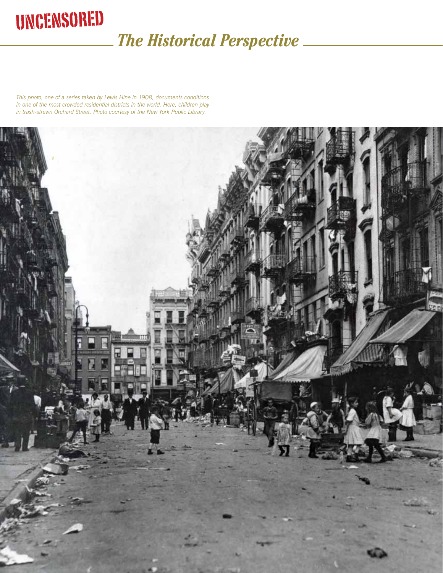## **UNCENSORED**

### *The Historical Perspective*

*This photo, one of a series taken by Lewis Hine in 1908, documents conditions in one of the most crowded residential districts in the world. Here, children play in trash-strewn Orchard Street. Photo courtesy of the New York Public Library.* 

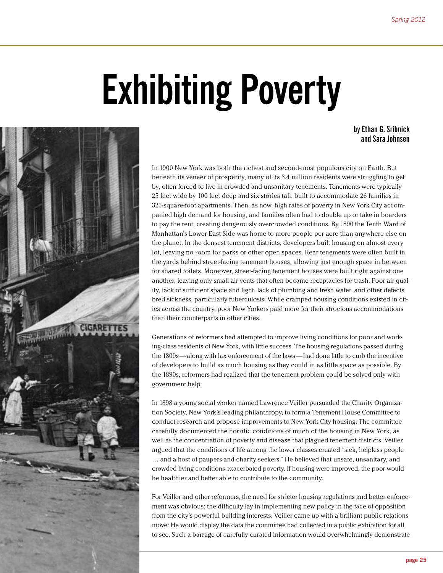# **Exhibiting Poverty**

**by Ethan G. Sribnick and Sara Johnsen**



In 1900 New York was both the richest and second-most populous city on Earth. But beneath its veneer of prosperity, many of its 3.4 million residents were struggling to get by, often forced to live in crowded and unsanitary tenements. Tenements were typically 25 feet wide by 100 feet deep and six stories tall, built to accommodate 26 families in 325-square-foot apartments. Then, as now, high rates of poverty in New York City accompanied high demand for housing, and families often had to double up or take in boarders to pay the rent, creating dangerously overcrowded conditions. By 1890 the Tenth Ward of Manhattan's Lower East Side was home to more people per acre than anywhere else on the planet. In the densest tenement districts, developers built housing on almost every lot, leaving no room for parks or other open spaces. Rear tenements were often built in the yards behind street-facing tenement houses, allowing just enough space in between for shared toilets. Moreover, street-facing tenement houses were built right against one another, leaving only small air vents that often became receptacles for trash. Poor air quality, lack of sufficient space and light, lack of plumbing and fresh water, and other defects bred sickness, particularly tuberculosis. While cramped housing conditions existed in cities across the country, poor New Yorkers paid more for their atrocious accommodations than their counterparts in other cities.

Generations of reformers had attempted to improve living conditions for poor and working-class residents of New York, with little success. The housing regulations passed during the 1800s — along with lax enforcement of the laws — had done little to curb the incentive of developers to build as much housing as they could in as little space as possible. By the 1890s, reformers had realized that the tenement problem could be solved only with government help.

In 1898 a young social worker named Lawrence Veiller persuaded the Charity Organization Society, New York's leading philanthropy, to form a Tenement House Committee to conduct research and propose improvements to New York City housing. The committee carefully documented the horrific conditions of much of the housing in New York, as well as the concentration of poverty and disease that plagued tenement districts. Veiller argued that the conditions of life among the lower classes created "sick, helpless people … and a host of paupers and charity seekers." He believed that unsafe, unsanitary, and crowded living conditions exacerbated poverty. If housing were improved, the poor would be healthier and better able to contribute to the community.

For Veiller and other reformers, the need for stricter housing regulations and better enforcement was obvious; the difficulty lay in implementing new policy in the face of opposition from the city's powerful building interests. Veiller came up with a brilliant public-relations move: He would display the data the committee had collected in a public exhibition for all to see. Such a barrage of carefully curated information would overwhelmingly demonstrate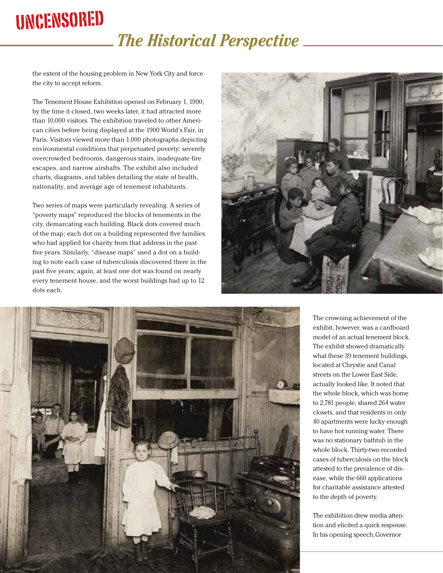## Uncensored

### *The Historical Perspective*

the extent of the housing problem in New York City and force the city to accept reform.

The Tenement House Exhibition opened on February 1, 1900; by the time it closed, two weeks later, it had attracted more than 10,000 visitors. The exhibition traveled to other American cities before being displayed at the 1900 World's Fair, in Paris. Visitors viewed more than 1,000 photographs depicting environmental conditions that perpetuated poverty: severely overcrowded bedrooms, dangerous stairs, inadequate fire escapes, and narrow airshafts. The exhibit also included charts, diagrams, and tables detailing the state of health, nationality, and average age of tenement inhabitants.

Two series of maps were particularly revealing. A series of "poverty maps" reproduced the blocks of tenements in the city, demarcating each building. Black dots covered much of the map; each dot on a building represented five families who had applied for charity from that address in the past five years. Similarly, "disease maps" used a dot on a building to note each case of tuberculosis discovered there in the past five years; again, at least one dot was found on nearly every tenement house, and the worst buildings had up to 12 dots each.





The crowning achievement of the exhibit, however, was a cardboard model of an actual tenement block. The exhibit showed dramatically what these 39 tenement buildings, located at Chrystie and Canal streets on the Lower East Side, actually looked like. It noted that the whole block, which was home to 2,781 people, shared 264 water closets, and that residents in only 40 apartments were lucky enough to have hot running water. There was no stationary bathtub in the whole block. Thirty-two recorded cases of tuberculosis on the block attested to the prevalence of disease, while the 660 applications for charitable assistance attested to the depth of poverty.

The exhibition drew media attention and elicited a quick response. In his opening speech, Governor